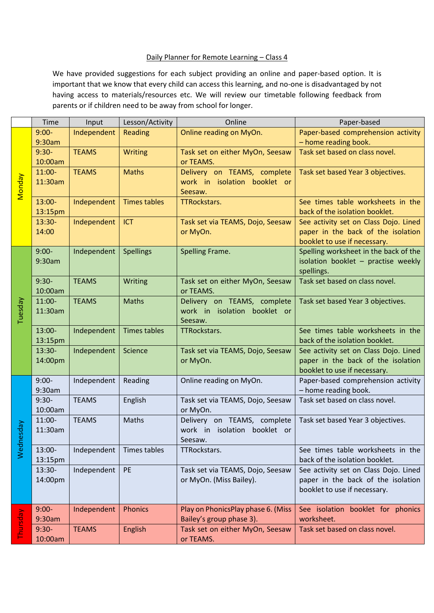## Daily Planner for Remote Learning - Class 4

We have provided suggestions for each subject providing an online and paper-based option. It is important that we know that every child can access this learning, and no-one is disadvantaged by not having access to materials/resources etc. We will review our timetable following feedback from parents or if children need to be away from school for longer.

|               | Time               | Input        | Lesson/Activity     | Online                                                      | Paper-based                                                                 |
|---------------|--------------------|--------------|---------------------|-------------------------------------------------------------|-----------------------------------------------------------------------------|
| <b>Monday</b> | $9:00-$            | Independent  | Reading             | Online reading on MyOn.                                     | Paper-based comprehension activity                                          |
|               | 9:30am             |              |                     |                                                             | - home reading book.                                                        |
|               | $9:30-$            | <b>TEAMS</b> | <b>Writing</b>      | Task set on either MyOn, Seesaw                             | Task set based on class novel.                                              |
|               | 10:00am            |              |                     | or TEAMS.                                                   |                                                                             |
|               | $11:00-$           | <b>TEAMS</b> | <b>Maths</b>        | Delivery on TEAMS, complete                                 | Task set based Year 3 objectives.                                           |
|               | 11:30am            |              |                     | work in isolation booklet or                                |                                                                             |
|               |                    |              |                     | Seesaw.                                                     |                                                                             |
|               | $13:00 -$          | Independent  | <b>Times tables</b> | TTRockstars.                                                | See times table worksheets in the                                           |
|               | 13:15pm            |              |                     |                                                             | back of the isolation booklet.                                              |
|               | $13:30-$           | Independent  | <b>ICT</b>          | Task set via TEAMS, Dojo, Seesaw                            | See activity set on Class Dojo. Lined                                       |
|               | 14:00              |              |                     | or MyOn.                                                    | paper in the back of the isolation                                          |
|               |                    |              |                     |                                                             | booklet to use if necessary.                                                |
|               | $9:00-$            | Independent  | <b>Spellings</b>    | Spelling Frame.                                             | Spelling worksheet in the back of the                                       |
|               | 9:30am             |              |                     |                                                             | isolation booklet - practise weekly                                         |
|               |                    |              |                     |                                                             | spellings.                                                                  |
|               | $9:30-$<br>10:00am | <b>TEAMS</b> | Writing             | Task set on either MyOn, Seesaw<br>or TEAMS.                | Task set based on class novel.                                              |
|               | 11:00-             | <b>TEAMS</b> | <b>Maths</b>        | Delivery on TEAMS, complete                                 |                                                                             |
|               | 11:30am            |              |                     | work in isolation booklet or                                | Task set based Year 3 objectives.                                           |
| Tuesday       |                    |              |                     | Seesaw.                                                     |                                                                             |
|               | $13:00-$           | Independent  | <b>Times tables</b> | TTRockstars.                                                | See times table worksheets in the                                           |
|               | 13:15pm            |              |                     |                                                             | back of the isolation booklet.                                              |
|               | 13:30-             | Independent  | Science             | Task set via TEAMS, Dojo, Seesaw                            | See activity set on Class Dojo. Lined                                       |
|               | 14:00pm            |              |                     | or MyOn.                                                    | paper in the back of the isolation                                          |
|               |                    |              |                     |                                                             | booklet to use if necessary.                                                |
|               | $9:00-$            | Independent  | Reading             | Online reading on MyOn.                                     | Paper-based comprehension activity                                          |
|               | 9:30am             |              |                     |                                                             | - home reading book.                                                        |
|               | $9:30-$            | <b>TEAMS</b> | English             | Task set via TEAMS, Dojo, Seesaw                            | Task set based on class novel.                                              |
|               | 10:00am            |              |                     | or MyOn.                                                    |                                                                             |
| hesday<br>Wed | 11:00-             | <b>TEAMS</b> | <b>Maths</b>        | Delivery on TEAMS, complete                                 | Task set based Year 3 objectives.                                           |
|               | 11:30am            |              |                     | work in isolation booklet or                                |                                                                             |
|               |                    |              |                     | Seesaw.                                                     |                                                                             |
|               | 13:00-             | Independent  | Times tables        | TTRockstars.                                                | See times table worksheets in the                                           |
|               | 13:15pm            |              |                     |                                                             | back of the isolation booklet.                                              |
|               | 13:30-<br>14:00pm  | Independent  | PE                  | Task set via TEAMS, Dojo, Seesaw<br>or MyOn. (Miss Bailey). | See activity set on Class Dojo. Lined<br>paper in the back of the isolation |
|               |                    |              |                     |                                                             | booklet to use if necessary.                                                |
|               |                    |              |                     |                                                             |                                                                             |
| Thursday      | $9:00-$            | Independent  | <b>Phonics</b>      | Play on PhonicsPlay phase 6. (Miss                          | See isolation booklet for phonics                                           |
|               | 9:30am             |              |                     | Bailey's group phase 3).                                    | worksheet.                                                                  |
|               | $9:30-$            | <b>TEAMS</b> | English             | Task set on either MyOn, Seesaw                             | Task set based on class novel.                                              |
|               | 10:00am            |              |                     | or TEAMS.                                                   |                                                                             |